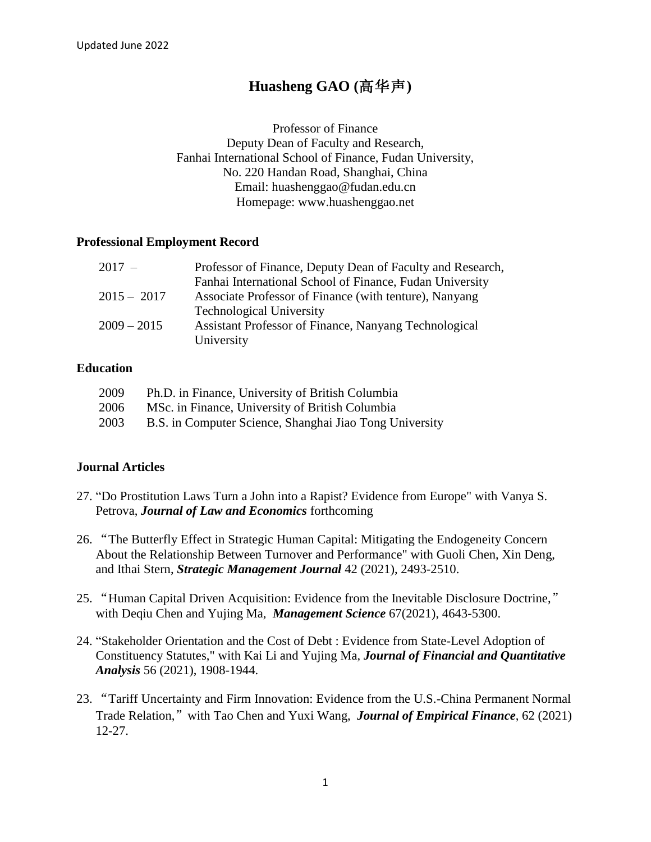# **Huasheng GAO (**高华声**)**

Professor of Finance Deputy Dean of Faculty and Research, Fanhai International School of Finance, Fudan University, No. 220 Handan Road, Shanghai, China Email: huashenggao@fudan.edu.cn Homepage: www.huashenggao.net

#### **Professional Employment Record**

| $2017 -$      | Professor of Finance, Deputy Dean of Faculty and Research, |
|---------------|------------------------------------------------------------|
|               | Fanhai International School of Finance, Fudan University   |
| $2015 - 2017$ | Associate Professor of Finance (with tenture), Nanyang     |
|               | <b>Technological University</b>                            |
| $2009 - 2015$ | Assistant Professor of Finance, Nanyang Technological      |
|               | University                                                 |

#### **Education**

| 2009 | Ph.D. in Finance, University of British Columbia        |
|------|---------------------------------------------------------|
| 2006 | MSc. in Finance, University of British Columbia         |
| 2003 | B.S. in Computer Science, Shanghai Jiao Tong University |

## **Journal Articles**

- 27. "Do Prostitution Laws Turn a John into a Rapist? Evidence from Europe" with Vanya S. Petrova, *Journal of Law and Economics* forthcoming
- 26. "The Butterfly Effect in Strategic Human Capital: Mitigating the Endogeneity Concern About the Relationship Between Turnover and Performance" with Guoli Chen, Xin Deng, and Ithai Stern, *Strategic Management Journal* 42 (2021), 2493-2510.
- 25. "Human Capital Driven Acquisition: Evidence from the Inevitable Disclosure Doctrine," with Deqiu Chen and Yujing Ma, *Management Science* 67(2021), 4643-5300.
- 24. "Stakeholder Orientation and the Cost of Debt : Evidence from State-Level Adoption of Constituency Statutes," with Kai Li and Yujing Ma, *Journal of Financial and Quantitative Analysis* 56 (2021), 1908-1944.
- 23. "Tariff Uncertainty and Firm Innovation: Evidence from the U.S.-China Permanent Normal Trade Relation,"with Tao Chen and Yuxi Wang, *Journal of Empirical Finance*, 62 (2021) 12-27.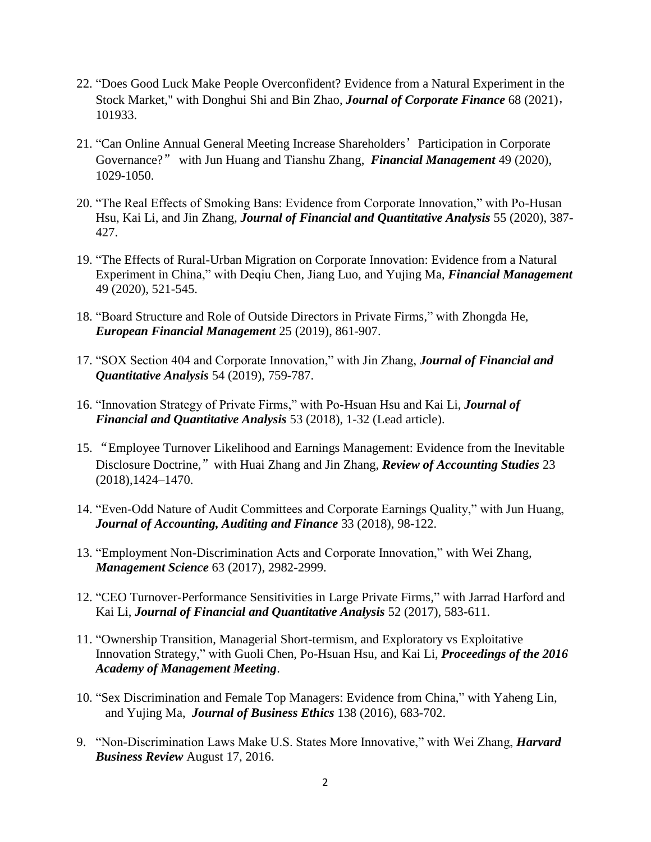- 22. "Does Good Luck Make People Overconfident? Evidence from a Natural Experiment in the Stock Market," with Donghui Shi and Bin Zhao, *Journal of Corporate Finance* 68 (2021), 101933.
- 21. "Can Online Annual General Meeting Increase Shareholders'Participation in Corporate Governance?" with Jun Huang and Tianshu Zhang, *Financial Management* 49 (2020), 1029-1050.
- 20. "The Real Effects of Smoking Bans: Evidence from Corporate Innovation," with Po-Husan Hsu, Kai Li, and Jin Zhang, *Journal of Financial and Quantitative Analysis* 55 (2020), 387- 427.
- 19. "The Effects of Rural-Urban Migration on Corporate Innovation: Evidence from a Natural Experiment in China," with Deqiu Chen, Jiang Luo, and Yujing Ma, *Financial Management* 49 (2020), 521-545.
- 18. "Board Structure and Role of Outside Directors in Private Firms," with Zhongda He, *European Financial Management* 25 (2019), 861-907.
- 17. "SOX Section 404 and Corporate Innovation," with Jin Zhang, *Journal of Financial and Quantitative Analysis* 54 (2019), 759-787.
- 16. "Innovation Strategy of Private Firms," with Po-Hsuan Hsu and Kai Li, *Journal of Financial and Quantitative Analysis* 53 (2018), 1-32 (Lead article).
- 15. "Employee Turnover Likelihood and Earnings Management: Evidence from the Inevitable Disclosure Doctrine," with Huai Zhang and Jin Zhang, *Review of Accounting Studies* 23 (2018),1424–1470.
- 14. "Even-Odd Nature of Audit Committees and Corporate Earnings Quality," with Jun Huang, *Journal of Accounting, Auditing and Finance* 33 (2018), 98-122.
- 13. "Employment Non-Discrimination Acts and Corporate Innovation," with Wei Zhang, *Management Science* 63 (2017), 2982-2999.
- 12. "CEO Turnover-Performance Sensitivities in Large Private Firms," with Jarrad Harford and Kai Li, *Journal of Financial and Quantitative Analysis* 52 (2017), 583-611.
- 11. "Ownership Transition, Managerial Short-termism, and Exploratory vs Exploitative Innovation Strategy," with Guoli Chen, Po-Hsuan Hsu, and Kai Li, *Proceedings of the 2016 Academy of Management Meeting*.
- 10. "Sex Discrimination and Female Top Managers: Evidence from China," with Yaheng Lin, and Yujing Ma, *Journal of Business Ethics* 138 (2016), 683-702.
- 9. "Non-Discrimination Laws Make U.S. States More Innovative," with Wei Zhang, *Harvard Business Review* August 17, 2016.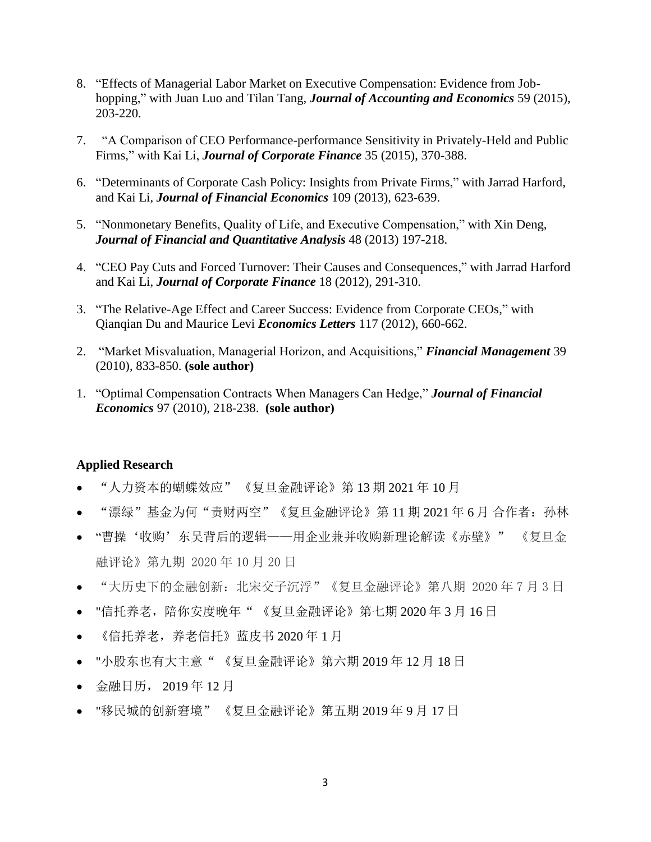- 8. "Effects of Managerial Labor Market on Executive Compensation: Evidence from Jobhopping," with Juan Luo and Tilan Tang, *Journal of Accounting and Economics* 59 (2015), 203-220.
- 7."A Comparison of CEO Performance-performance Sensitivity in Privately-Held and Public Firms," with Kai Li, *Journal of Corporate Finance* 35 (2015), 370-388.
- 6. "Determinants of Corporate Cash Policy: Insights from Private Firms," with Jarrad Harford, and Kai Li, *Journal of Financial Economics* 109 (2013), 623-639.
- 5. "Nonmonetary Benefits, Quality of Life, and Executive Compensation," with Xin Deng, *Journal of Financial and Quantitative Analysis* 48 (2013) 197-218.
- 4. "CEO Pay Cuts and Forced Turnover: Their Causes and Consequences," with Jarrad Harford and Kai Li, *Journal of Corporate Finance* 18 (2012), 291-310.
- 3. "The Relative-Age Effect and Career Success: Evidence from Corporate CEOs," with Qianqian Du and Maurice Levi *Economics Letters* 117 (2012), 660-662.
- 2. "Market Misvaluation, Managerial Horizon, and Acquisitions," *Financial Management* 39 (2010), 833-850. **(sole author)**
- 1. "Optimal Compensation Contracts When Managers Can Hedge," *Journal of Financial Economics* 97 (2010), 218-238. **(sole author)**

## **Applied Research**

- "人力资本的蝴蝶效应" 《复旦金融评论》第 13 期 2021 年 10 月
- "漂绿"基金为何"责财两空"《复旦金融评论》第 11 期 2021 年 6 月 合作者:孙林
- "曹操'收购'东吴背后的逻辑——用企业兼并收购新理论解读《赤壁》" 《复旦金 融评论》第九期 2020 年 10 月 20 日
- "大历史下的金融创新: 北宋交子沉浮"《复旦金融评论》第八期 2020 年 7 月 3 日
- "信托养老,陪你安度晚年" 《复旦金融评论》第七期 2020 年 3 月 16 日
- 《信托养老,养老信托》蓝皮书 2020 年 1 月
- "小股东也有大主意" 《复旦金融评论》第六期 2019 年 12 月 18 日
- 金融日历, 2019 年 12 月
- "移民城的创新窘境" 《复旦金融评论》第五期 2019 年 9 月 17 日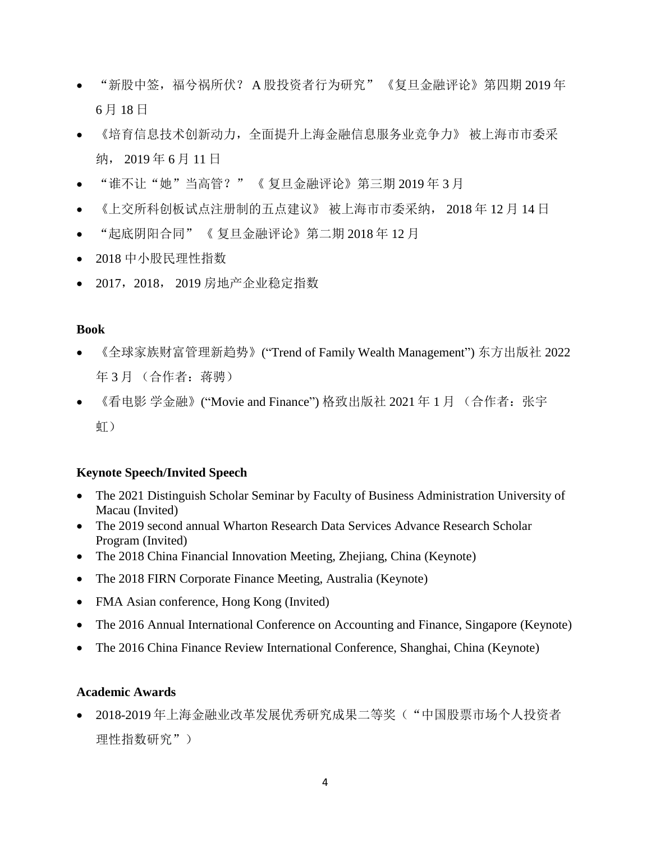- "新股中签,福兮祸所伏? A 股投资者行为研究" 《复旦金融评论》第四期 2019 年 6 月 18 日
- 《培育信息技术创新动力,全面提升上海金融信息服务业竞争力》 被上海市市委采 纳, 2019 年 6 月 11 日
- "谁不让"她"当高管?" 《复旦金融评论》第三期 2019年3月
- 《上交所科创板试点注册制的五点建议》 被上海市市委采纳, 2018 年 12 月 14 日
- "起底阴阳合同" 《 复旦金融评论》第二期 2018 年 12 月
- 2018 中小股民理性指数
- 2017,2018, 2019 房地产企业稳定指数

#### **Book**

- 《全球家族财富管理新趋势》("Trend of Family Wealth Management") 东方出版社 2022 年3月 (合作者: 蒋骋)
- 《看电影 学金融》("Movie and Finance") 格致出版社 2021 年 1 月 (合作者: 张宇 虹)

#### **Keynote Speech/Invited Speech**

- The 2021 Distinguish Scholar Seminar by Faculty of Business Administration University of Macau (Invited)
- The 2019 second annual Wharton Research Data Services Advance Research Scholar Program (Invited)
- The 2018 China Financial Innovation Meeting, Zhejiang, China (Keynote)
- The 2018 FIRN Corporate Finance Meeting, Australia (Keynote)
- FMA Asian conference, Hong Kong (Invited)
- The 2016 Annual International Conference on Accounting and Finance, Singapore (Keynote)
- The 2016 China Finance Review International Conference, Shanghai, China (Keynote)

## **Academic Awards**

● 2018-2019年上海金融业改革发展优秀研究成果二等奖("中国股票市场个人投资者 理性指数研究")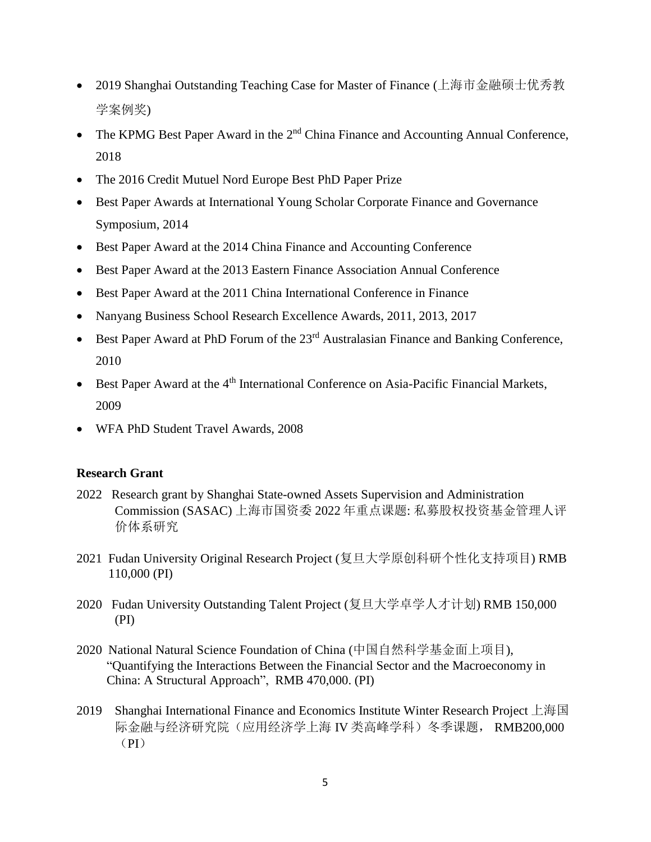- 2019 Shanghai Outstanding Teaching Case for Master of Finance (上海市金融硕士优秀教 学案例奖)
- $\bullet$  The KPMG Best Paper Award in the  $2<sup>nd</sup>$  China Finance and Accounting Annual Conference, 2018
- The 2016 Credit Mutuel Nord Europe Best PhD Paper Prize
- Best Paper Awards at International Young Scholar Corporate Finance and Governance Symposium, 2014
- Best Paper Award at the 2014 China Finance and Accounting Conference
- Best Paper Award at the 2013 Eastern Finance Association Annual Conference
- Best Paper Award at the 2011 China International Conference in Finance
- Nanyang Business School Research Excellence Awards, 2011, 2013, 2017
- Best Paper Award at PhD Forum of the 23<sup>rd</sup> Australasian Finance and Banking Conference, 2010
- Best Paper Award at the  $4<sup>th</sup>$  International Conference on Asia-Pacific Financial Markets, 2009
- WFA PhD Student Travel Awards, 2008

## **Research Grant**

- 2022 Research grant by Shanghai State-owned Assets Supervision and Administration Commission (SASAC) 上海市国资委 2022 年重点课题: 私募股权投资基金管理人评 价体系研究
- 2021 Fudan University Original Research Project (复旦大学原创科研个性化支持项目) RMB 110,000 (PI)
- 2020 Fudan University Outstanding Talent Project (复旦大学卓学人才计划) RMB 150,000 (PI)
- 2020 National Natural Science Foundation of China (中国自然科学基金面上项目), "Quantifying the Interactions Between the Financial Sector and the Macroeconomy in China: A Structural Approach", RMB 470,000. (PI)
- 2019 Shanghai International Finance and Economics Institute Winter Research Project 上海国 际金融与经济研究院(应用经济学上海 IV 类高峰学科)冬季课题, RMB200,000  $(PI)$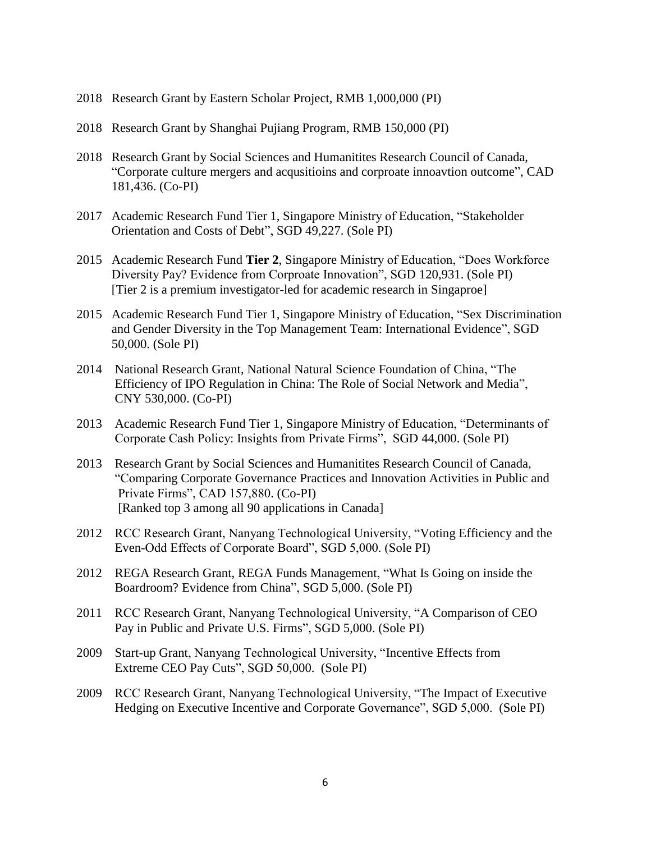- 2018 Research Grant by Eastern Scholar Project, RMB 1,000,000 (PI)
- 2018 Research Grant by Shanghai Pujiang Program, RMB 150,000 (PI)
- 2018 Research Grant by Social Sciences and Humanitites Research Council of Canada, "Corporate culture mergers and acqusitioins and corproate innoavtion outcome", CAD 181,436. (Co-PI)
- 2017 Academic Research Fund Tier 1, Singapore Ministry of Education, "Stakeholder Orientation and Costs of Debt", SGD 49,227. (Sole PI)
- 2015 Academic Research Fund **Tier 2**, Singapore Ministry of Education, "Does Workforce Diversity Pay? Evidence from Corproate Innovation", SGD 120,931. (Sole PI) [Tier 2 is a premium investigator-led for academic research in Singaproe]
- 2015 Academic Research Fund Tier 1, Singapore Ministry of Education, "Sex Discrimination and Gender Diversity in the Top Management Team: International Evidence", SGD 50,000. (Sole PI)
- 2014 National Research Grant, National Natural Science Foundation of China, "The Efficiency of IPO Regulation in China: The Role of Social Network and Media", CNY 530,000. (Co-PI)
- 2013 Academic Research Fund Tier 1, Singapore Ministry of Education, "Determinants of Corporate Cash Policy: Insights from Private Firms", SGD 44,000. (Sole PI)
- 2013 Research Grant by Social Sciences and Humanitites Research Council of Canada, "Comparing Corporate Governance Practices and Innovation Activities in Public and Private Firms", CAD 157,880. (Co-PI) [Ranked top 3 among all 90 applications in Canada]
- 2012 RCC Research Grant, Nanyang Technological University, "Voting Efficiency and the Even-Odd Effects of Corporate Board", SGD 5,000. (Sole PI)
- 2012 REGA Research Grant, REGA Funds Management, "What Is Going on inside the Boardroom? Evidence from China", SGD 5,000. (Sole PI)
- 2011 RCC Research Grant, Nanyang Technological University, "A Comparison of CEO Pay in Public and Private U.S. Firms", SGD 5,000. (Sole PI)
- 2009 Start-up Grant, Nanyang Technological University, "Incentive Effects from Extreme CEO Pay Cuts", SGD 50,000. (Sole PI)
- 2009 RCC Research Grant, Nanyang Technological University, "The Impact of Executive Hedging on Executive Incentive and Corporate Governance", SGD 5,000. (Sole PI)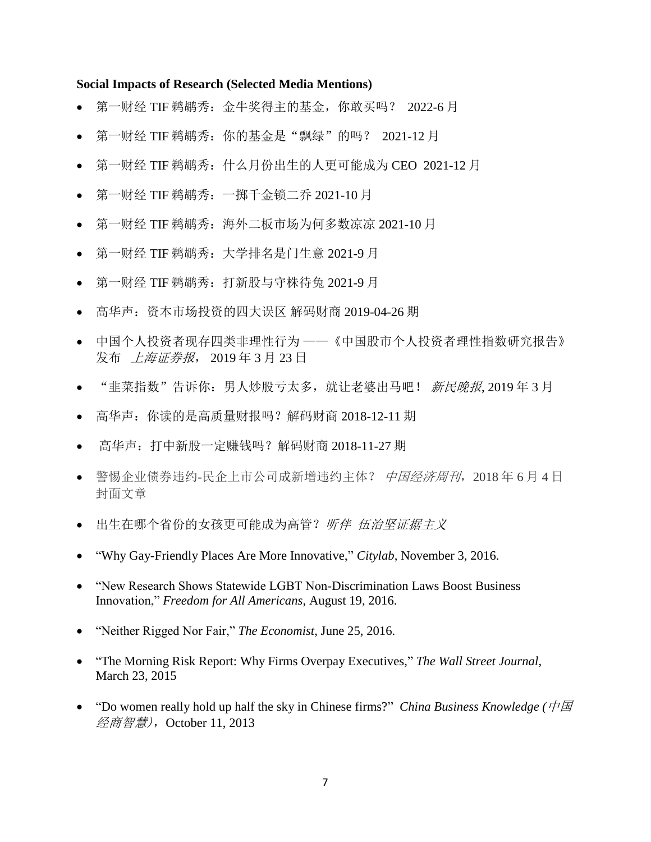#### **Social Impacts of Research (Selected Media Mentions)**

- 第一财经 TIF 鹈鹕秀: 金牛奖得主的基金, 你敢买吗? 2022-6月
- 第一财经 TIF 鹈鹕秀: 你的基金是"飘绿"的吗? 2021-12 月
- 第一财经 TIF 鹈鹕秀:什么月份出生的人更可能成为 CEO 2021-12 月
- 第一财经 TIF 鹈鹕秀:一掷千金锁二乔 2021-10 月
- 第一财经 TIF 鹈鹕秀: 海外二板市场为何多数凉凉 2021-10 月
- 第一财经 TIF 鹈鹕秀:大学排名是门生意 2021-9 月
- 第一财经 TIF 鹈鹕秀:打新股与守株待兔 2021-9 月
- 高华声:资本市场投资的四大误区 解码财商 2019-04-26 期
- 中国个人投资者现存四类非理性行为 ——《中国股市个人投资者理性指数研究报告》 发布 上海证券报, 2019 年 3 月 23 日
- "韭菜指数"告诉你: 男人炒股亏太多, 就让老婆出马吧! 新民晚报, 2019年3月
- 高华声:你读的是高质量财报吗?解码财商 2018-12-11 期
- 高华声:打中新股一定赚钱吗?解码财商 2018-11-27 期
- 警惕企业债券违约-民企上市公司成新增违约主体? 中国经济周刊, 2018年6月4日 封面文章
- 出生在哪个省份的女孩更可能成为高管? 听伴 伍治坚证据主义
- "Why Gay-Friendly Places Are More Innovative," *Citylab*, November 3, 2016.
- "New Research Shows Statewide LGBT Non-Discrimination Laws Boost Business Innovation," *Freedom for All Americans*, August 19, 2016.
- "Neither Rigged Nor Fair," *The Economist*, June 25, 2016.
- "The Morning Risk Report: Why Firms Overpay Executives," *The Wall Street Journal*, March 23, 2015
- "Do women really hold up half the sky in Chinese firms?" *China Business Knowledge* ( $H\overline{B}$ ) 经商智慧),October 11, 2013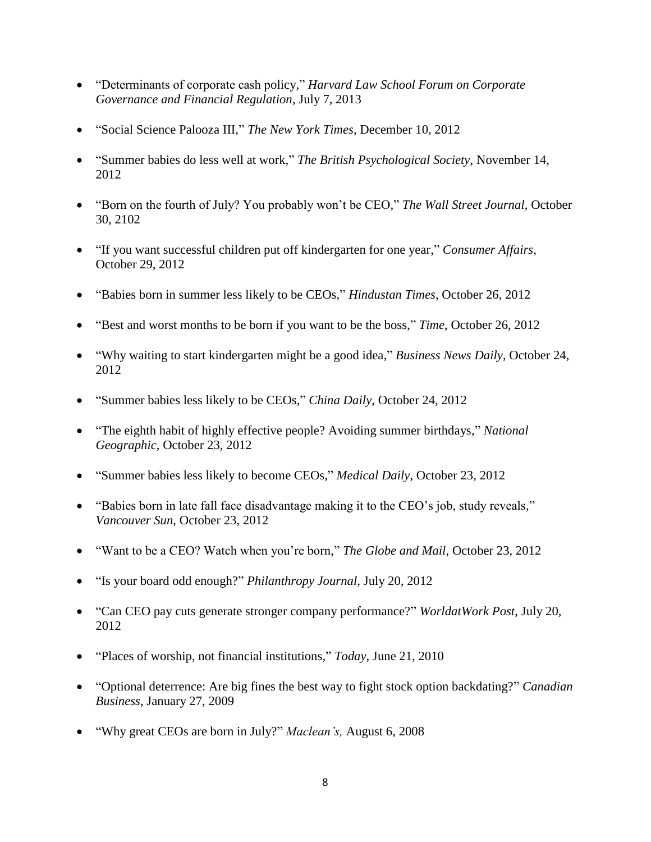- "Determinants of corporate cash policy," *Harvard Law School Forum on Corporate Governance and Financial Regulation*, July 7, 2013
- "Social Science Palooza III," *The New York Times*, December 10, 2012
- "Summer babies do less well at work," *The British Psychological Society*, November 14, 2012
- "Born on the fourth of July? You probably won't be CEO," *The Wall Street Journal*, October 30, 2102
- "If you want successful children put off kindergarten for one year," *Consumer Affairs*, October 29, 2012
- "Babies born in summer less likely to be CEOs," *Hindustan Times*, October 26, 2012
- "Best and worst months to be born if you want to be the boss," *Time*, October 26, 2012
- "Why waiting to start kindergarten might be a good idea," *Business News Daily*, October 24, 2012
- "Summer babies less likely to be CEOs," *China Daily*, October 24, 2012
- "The eighth habit of highly effective people? Avoiding summer birthdays," *National Geographic*, October 23, 2012
- "Summer babies less likely to become CEOs," *Medical Daily*, October 23, 2012
- "Babies born in late fall face disadvantage making it to the CEO's job, study reveals," *Vancouver Sun*, October 23, 2012
- "Want to be a CEO? Watch when you're born," *The Globe and Mail*, October 23, 2012
- "Is your board odd enough?" *Philanthropy Journal*, July 20, 2012
- "Can CEO pay cuts generate stronger company performance?" *WorldatWork Post*, July 20, 2012
- "Places of worship, not financial institutions," *Today*, June 21, 2010
- "Optional deterrence: Are big fines the best way to fight stock option backdating?" *Canadian Business*, January 27, 2009
- "Why great CEOs are born in July?" *Maclean's,* August 6, 2008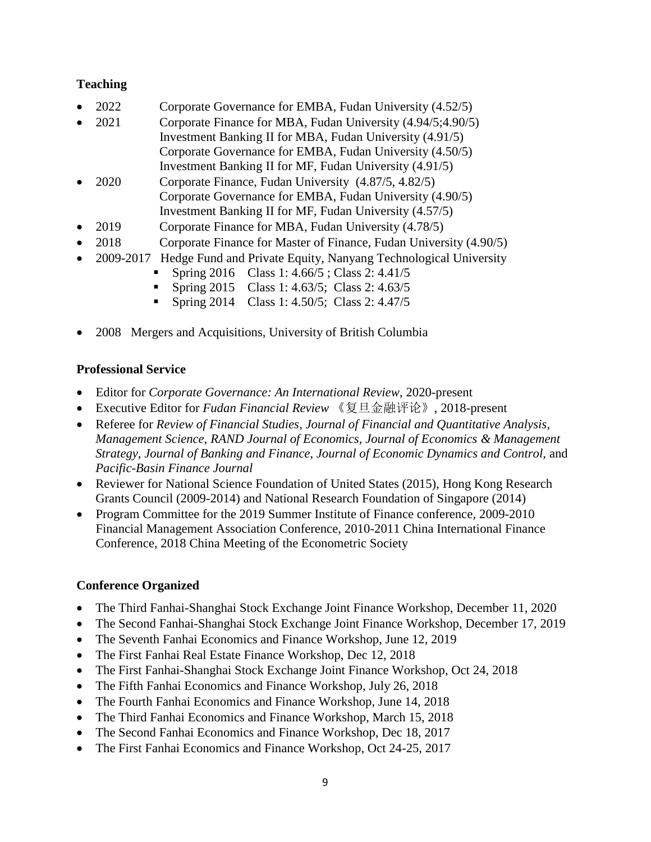# **Teaching**

- 2022 Corporate Governance for EMBA, Fudan University (4.52/5)
- 2021 Corporate Finance for MBA, Fudan University (4.94/5;4.90/5) Investment Banking II for MBA, Fudan University (4.91/5) Corporate Governance for EMBA, Fudan University (4.50/5) Investment Banking II for MF, Fudan University (4.91/5)
- 2020 Corporate Finance, Fudan University (4.87/5, 4.82/5) Corporate Governance for EMBA, Fudan University (4.90/5) Investment Banking II for MF, Fudan University (4.57/5)
- 2019 Corporate Finance for MBA, Fudan University (4.78/5)
- 2018 Corporate Finance for Master of Finance, Fudan University (4.90/5)
- 2009-2017 Hedge Fund and Private Equity, Nanyang Technological University
	- Spring 2016 Class 1:  $4.66/5$ ; Class 2:  $4.41/5$
	- Spring 2015 Class 1: 4.63/5; Class 2: 4.63/5
	- **Spring 2014** Class 1: 4.50/5; Class 2: 4.47/5
- 2008 Mergers and Acquisitions, University of British Columbia

# **Professional Service**

- Editor for *Corporate Governance: An International Review*, 2020-present
- Executive Editor for *Fudan Financial Review* 《复旦金融评论》, 2018-present
- Referee for *Review of Financial Studies, Journal of Financial and Quantitative Analysis*, *Management Science*, *RAND Journal of Economics*, *Journal of Economics & Management Strategy*, *Journal of Banking and Finance*, *Journal of Economic Dynamics and Control,* and *Pacific-Basin Finance Journal*
- Reviewer for National Science Foundation of United States (2015), Hong Kong Research Grants Council (2009-2014) and National Research Foundation of Singapore (2014)
- Program Committee for the 2019 Summer Institute of Finance conference, 2009-2010 Financial Management Association Conference, 2010-2011 China International Finance Conference, 2018 China Meeting of the Econometric Society

# **Conference Organized**

- The Third Fanhai-Shanghai Stock Exchange Joint Finance Workshop, December 11, 2020
- The Second Fanhai-Shanghai Stock Exchange Joint Finance Workshop, December 17, 2019
- The Seventh Fanhai Economics and Finance Workshop, June 12, 2019
- The First Fanhai Real Estate Finance Workshop, Dec 12, 2018
- The First Fanhai-Shanghai Stock Exchange Joint Finance Workshop, Oct 24, 2018
- The Fifth Fanhai Economics and Finance Workshop, July 26, 2018
- The Fourth Fanhai Economics and Finance Workshop, June 14, 2018
- The Third Fanhai Economics and Finance Workshop, March 15, 2018
- The Second Fanhai Economics and Finance Workshop, Dec 18, 2017
- The First Fanhai Economics and Finance Workshop, Oct 24-25, 2017